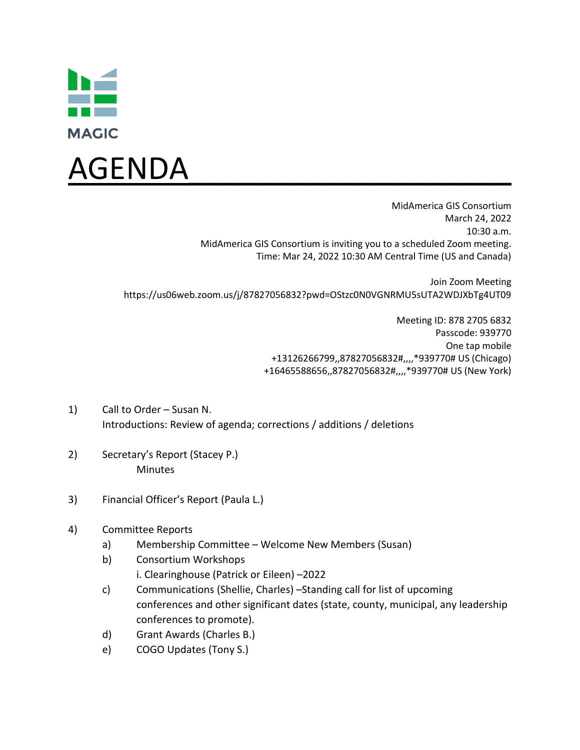



Join Zoom Meeting https://us06web.zoom.us/j/87827056832?pwd=OStzc0N0VGNRMU5sUTA2WDJXbTg4UT09

> Meeting ID: 878 2705 6832 Passcode: 939770 One tap mobile +13126266799,,87827056832#,,,,\*939770# US (Chicago) +16465588656,,87827056832#,,,,\*939770# US (New York)

- 1) Call to Order Susan N. Introductions: Review of agenda; corrections / additions / deletions
- 2) Secretary's Report (Stacey P.) **Minutes**
- 3) Financial Officer's Report (Paula L.)
- 4) Committee Reports
	- a) Membership Committee Welcome New Members (Susan)
	- b) Consortium Workshops i. Clearinghouse (Patrick or Eileen) –2022
	- c) Communications (Shellie, Charles) –Standing call for list of upcoming conferences and other significant dates (state, county, municipal, any leadership conferences to promote).
	- d) Grant Awards (Charles B.)
	- e) COGO Updates (Tony S.)